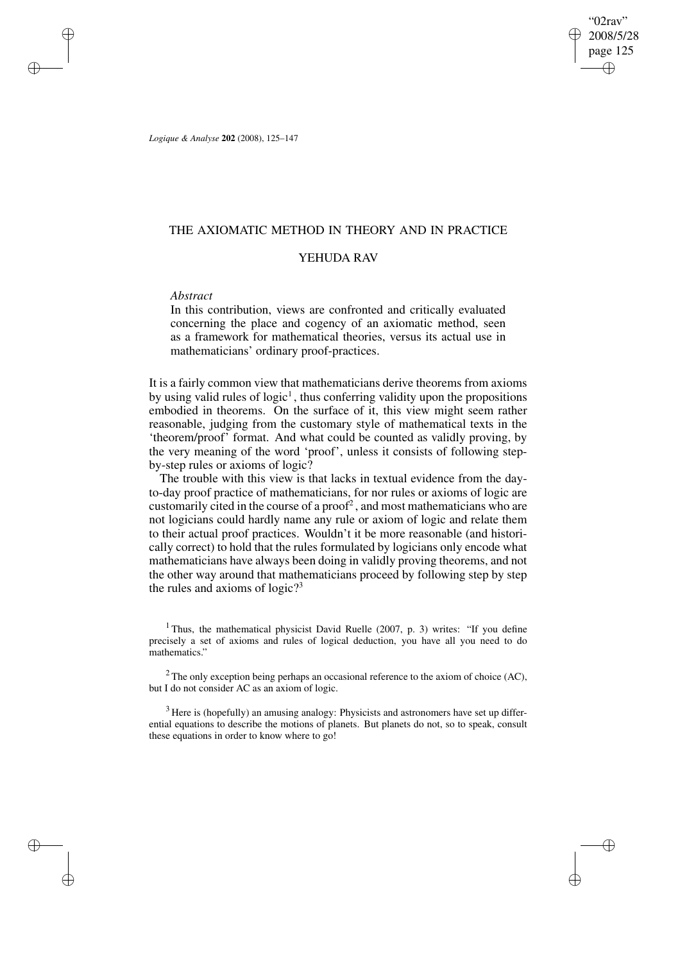"02rav" 2008/5/28 page 125 ✐ ✐

✐

✐

*Logique & Analyse* **202** (2008), 125–147

# THE AXIOMATIC METHOD IN THEORY AND IN PRACTICE

## YEHUDA RAV

# *Abstract*

✐

✐

✐

✐

In this contribution, views are confronted and critically evaluated concerning the place and cogency of an axiomatic method, seen as a framework for mathematical theories, versus its actual use in mathematicians' ordinary proof-practices.

It is a fairly common view that mathematicians derive theorems from axioms by using valid rules of logic<sup>1</sup>, thus conferring validity upon the propositions embodied in theorems. On the surface of it, this view might seem rather reasonable, judging from the customary style of mathematical texts in the 'theorem/proof' format. And what could be counted as validly proving, by the very meaning of the word 'proof', unless it consists of following stepby-step rules or axioms of logic?

The trouble with this view is that lacks in textual evidence from the dayto-day proof practice of mathematicians, for nor rules or axioms of logic are customarily cited in the course of a proof<sup>2</sup>, and most mathematicians who are not logicians could hardly name any rule or axiom of logic and relate them to their actual proof practices. Wouldn't it be more reasonable (and historically correct) to hold that the rules formulated by logicians only encode what mathematicians have always been doing in validly proving theorems, and not the other way around that mathematicians proceed by following step by step the rules and axioms of logic?<sup>3</sup>

<sup>1</sup> Thus, the mathematical physicist David Ruelle (2007, p. 3) writes: "If you define precisely a set of axioms and rules of logical deduction, you have all you need to do mathematics."

 $2$  The only exception being perhaps an occasional reference to the axiom of choice (AC), but I do not consider AC as an axiom of logic.

<sup>3</sup> Here is (hopefully) an amusing analogy: Physicists and astronomers have set up differential equations to describe the motions of planets. But planets do not, so to speak, consult these equations in order to know where to go!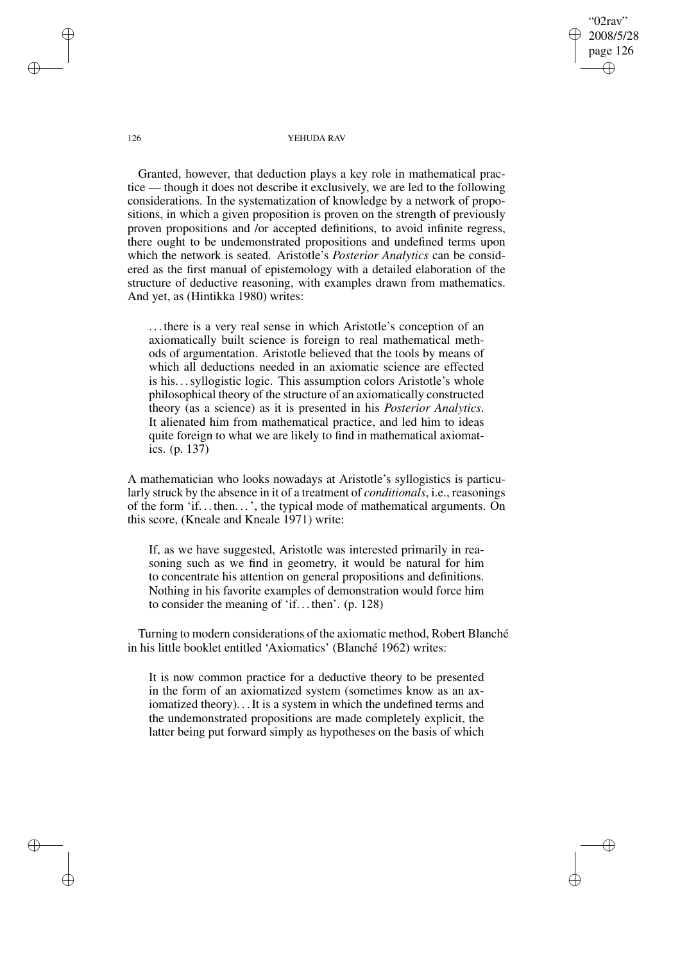"02rav" 2008/5/28 page 126 ✐ ✐

✐

✐

### 126 YEHUDA RAV

Granted, however, that deduction plays a key role in mathematical practice — though it does not describe it exclusively, we are led to the following considerations. In the systematization of knowledge by a network of propositions, in which a given proposition is proven on the strength of previously proven propositions and /or accepted definitions, to avoid infinite regress, there ought to be undemonstrated propositions and undefined terms upon which the network is seated. Aristotle's *Posterior Analytics* can be considered as the first manual of epistemology with a detailed elaboration of the structure of deductive reasoning, with examples drawn from mathematics. And yet, as (Hintikka 1980) writes:

. . . there is a very real sense in which Aristotle's conception of an axiomatically built science is foreign to real mathematical methods of argumentation. Aristotle believed that the tools by means of which all deductions needed in an axiomatic science are effected is his. . .syllogistic logic. This assumption colors Aristotle's whole philosophical theory of the structure of an axiomatically constructed theory (as a science) as it is presented in his *Posterior Analytics*. It alienated him from mathematical practice, and led him to ideas quite foreign to what we are likely to find in mathematical axiomatics. (p. 137)

A mathematician who looks nowadays at Aristotle's syllogistics is particularly struck by the absence in it of a treatment of *conditionals*, i.e., reasonings of the form 'if. . . then. . .', the typical mode of mathematical arguments. On this score, (Kneale and Kneale 1971) write:

If, as we have suggested, Aristotle was interested primarily in reasoning such as we find in geometry, it would be natural for him to concentrate his attention on general propositions and definitions. Nothing in his favorite examples of demonstration would force him to consider the meaning of 'if. . . then'. (p. 128)

Turning to modern considerations of the axiomatic method, Robert Blanché in his little booklet entitled 'Axiomatics' (Blanché 1962) writes:

It is now common practice for a deductive theory to be presented in the form of an axiomatized system (sometimes know as an axiomatized theory). . .It is a system in which the undefined terms and the undemonstrated propositions are made completely explicit, the latter being put forward simply as hypotheses on the basis of which

✐

✐

✐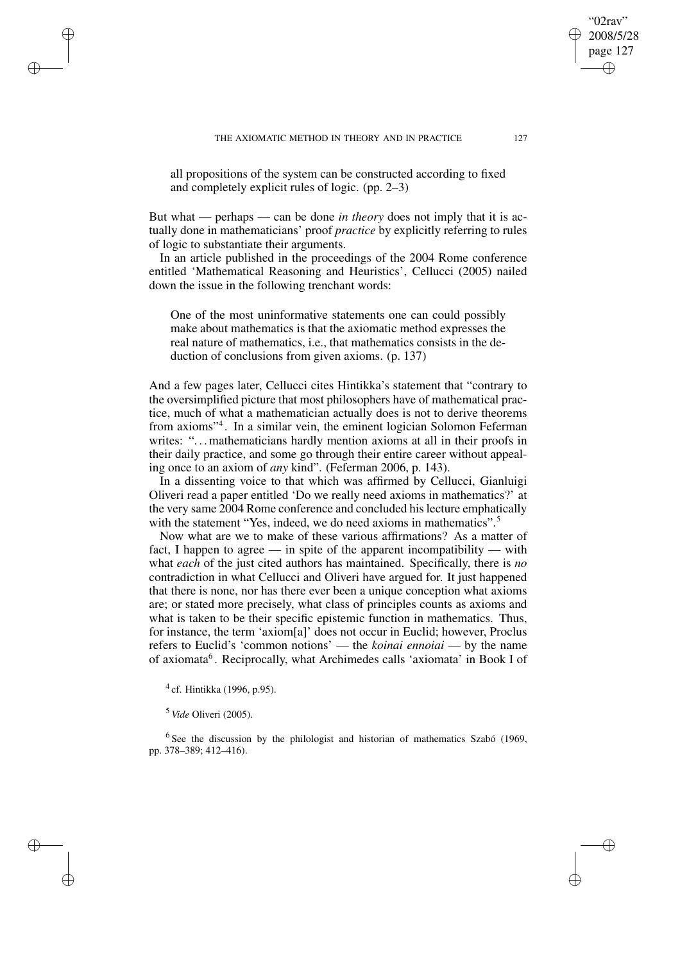all propositions of the system can be constructed according to fixed and completely explicit rules of logic. (pp. 2–3)

But what — perhaps — can be done *in theory* does not imply that it is actually done in mathematicians' proof *practice* by explicitly referring to rules of logic to substantiate their arguments.

In an article published in the proceedings of the 2004 Rome conference entitled 'Mathematical Reasoning and Heuristics', Cellucci (2005) nailed down the issue in the following trenchant words:

One of the most uninformative statements one can could possibly make about mathematics is that the axiomatic method expresses the real nature of mathematics, i.e., that mathematics consists in the deduction of conclusions from given axioms. (p. 137)

And a few pages later, Cellucci cites Hintikka's statement that "contrary to the oversimplified picture that most philosophers have of mathematical practice, much of what a mathematician actually does is not to derive theorems from axioms"<sup>4</sup> . In a similar vein, the eminent logician Solomon Feferman writes: "... mathematicians hardly mention axioms at all in their proofs in their daily practice, and some go through their entire career without appealing once to an axiom of *any* kind". (Feferman 2006, p. 143).

In a dissenting voice to that which was affirmed by Cellucci, Gianluigi Oliveri read a paper entitled 'Do we really need axioms in mathematics?' at the very same 2004 Rome conference and concluded hislecture emphatically with the statement "Yes, indeed, we do need axioms in mathematics".<sup>5</sup>

Now what are we to make of these various affirmations? As a matter of fact, I happen to agree — in spite of the apparent incompatibility — with what *each* of the just cited authors has maintained. Specifically, there is *no* contradiction in what Cellucci and Oliveri have argued for. It just happened that there is none, nor has there ever been a unique conception what axioms are; or stated more precisely, what class of principles counts as axioms and what is taken to be their specific epistemic function in mathematics. Thus, for instance, the term 'axiom[a]' does not occur in Euclid; however, Proclus refers to Euclid's 'common notions' — the *koinai ennoiai* — by the name of axiomata<sup>6</sup>. Reciprocally, what Archimedes calls 'axiomata' in Book I of

<sup>4</sup> cf. Hintikka (1996, p.95).

<sup>5</sup> *Vide* Oliveri (2005).

✐

✐

✐

✐

 $6$  See the discussion by the philologist and historian of mathematics Szabó (1969, pp. 378–389; 412–416).

02rav 2008/5/28 page 127

✐

✐

✐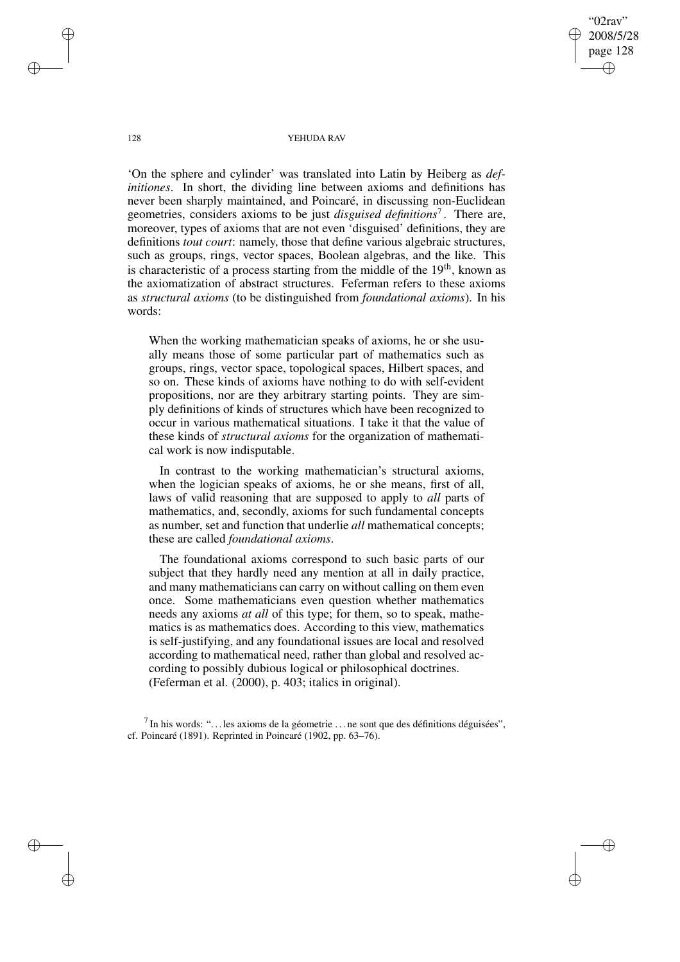"02rav" 2008/5/28 page 128 ✐ ✐

✐

✐

128 YEHUDA RAV

'On the sphere and cylinder' was translated into Latin by Heiberg as *definitiones*. In short, the dividing line between axioms and definitions has never been sharply maintained, and Poincaré, in discussing non-Euclidean geometries, considers axioms to be just *disguised definitions*<sup>7</sup> . There are, moreover, types of axioms that are not even 'disguised' definitions, they are definitions *tout court*: namely, those that define various algebraic structures, such as groups, rings, vector spaces, Boolean algebras, and the like. This is characteristic of a process starting from the middle of the 19<sup>th</sup>, known as the axiomatization of abstract structures. Feferman refers to these axioms as *structural axioms* (to be distinguished from *foundational axioms*). In his words:

When the working mathematician speaks of axioms, he or she usually means those of some particular part of mathematics such as groups, rings, vector space, topological spaces, Hilbert spaces, and so on. These kinds of axioms have nothing to do with self-evident propositions, nor are they arbitrary starting points. They are simply definitions of kinds of structures which have been recognized to occur in various mathematical situations. I take it that the value of these kinds of *structural axioms* for the organization of mathematical work is now indisputable.

In contrast to the working mathematician's structural axioms, when the logician speaks of axioms, he or she means, first of all, laws of valid reasoning that are supposed to apply to *all* parts of mathematics, and, secondly, axioms for such fundamental concepts as number, set and function that underlie *all* mathematical concepts; these are called *foundational axioms*.

The foundational axioms correspond to such basic parts of our subject that they hardly need any mention at all in daily practice, and many mathematicians can carry on without calling on them even once. Some mathematicians even question whether mathematics needs any axioms *at all* of this type; for them, so to speak, mathematics is as mathematics does. According to this view, mathematics is self-justifying, and any foundational issues are local and resolved according to mathematical need, rather than global and resolved according to possibly dubious logical or philosophical doctrines. (Feferman et al. (2000), p. 403; italics in original).

<sup>7</sup> In his words: "... les axioms de la géometrie ... ne sont que des définitions déguisées", cf. Poincaré (1891). Reprinted in Poincaré (1902, pp. 63–76).

✐

✐

✐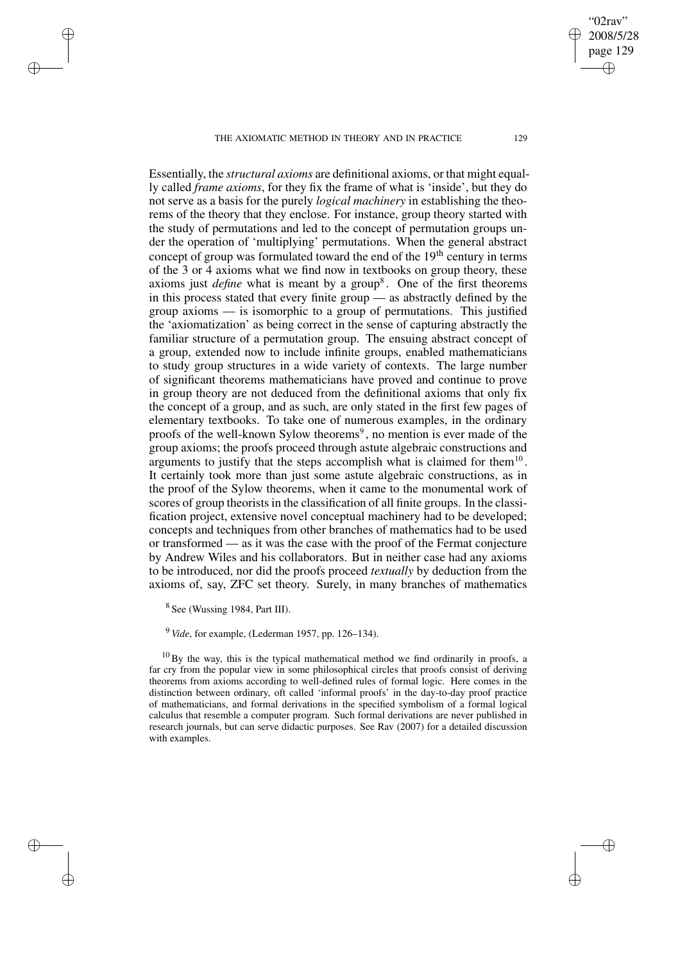THE AXIOMATIC METHOD IN THEORY AND IN PRACTICE 129

Essentially, the *structural axioms* are definitional axioms, or that might equally called *frame axioms*, for they fix the frame of what is 'inside', but they do not serve as a basis for the purely *logical machinery* in establishing the theorems of the theory that they enclose. For instance, group theory started with the study of permutations and led to the concept of permutation groups under the operation of 'multiplying' permutations. When the general abstract concept of group was formulated toward the end of the  $19<sup>th</sup>$  century in terms of the 3 or 4 axioms what we find now in textbooks on group theory, these axioms just *define* what is meant by a group<sup>8</sup>. One of the first theorems in this process stated that every finite group — as abstractly defined by the group axioms — is isomorphic to a group of permutations. This justified the 'axiomatization' as being correct in the sense of capturing abstractly the familiar structure of a permutation group. The ensuing abstract concept of a group, extended now to include infinite groups, enabled mathematicians to study group structures in a wide variety of contexts. The large number of significant theorems mathematicians have proved and continue to prove in group theory are not deduced from the definitional axioms that only fix the concept of a group, and as such, are only stated in the first few pages of elementary textbooks. To take one of numerous examples, in the ordinary proofs of the well-known Sylow theorems<sup>9</sup>, no mention is ever made of the group axioms; the proofs proceed through astute algebraic constructions and arguments to justify that the steps accomplish what is claimed for them $10$ . It certainly took more than just some astute algebraic constructions, as in the proof of the Sylow theorems, when it came to the monumental work of scores of group theorists in the classification of all finite groups. In the classification project, extensive novel conceptual machinery had to be developed; concepts and techniques from other branches of mathematics had to be used or transformed — as it was the case with the proof of the Fermat conjecture by Andrew Wiles and his collaborators. But in neither case had any axioms to be introduced, nor did the proofs proceed *textually* by deduction from the axioms of, say, ZFC set theory. Surely, in many branches of mathematics

<sup>8</sup> See (Wussing 1984, Part III).

✐

✐

✐

✐

<sup>9</sup> *Vide*, for example, (Lederman 1957, pp. 126–134).

 $10$  By the way, this is the typical mathematical method we find ordinarily in proofs, a far cry from the popular view in some philosophical circles that proofs consist of deriving theorems from axioms according to well-defined rules of formal logic. Here comes in the distinction between ordinary, oft called 'informal proofs' in the day-to-day proof practice of mathematicians, and formal derivations in the specified symbolism of a formal logical calculus that resemble a computer program. Such formal derivations are never published in research journals, but can serve didactic purposes. See Rav (2007) for a detailed discussion with examples.

02rav 2008/5/28 page 129

✐

✐

✐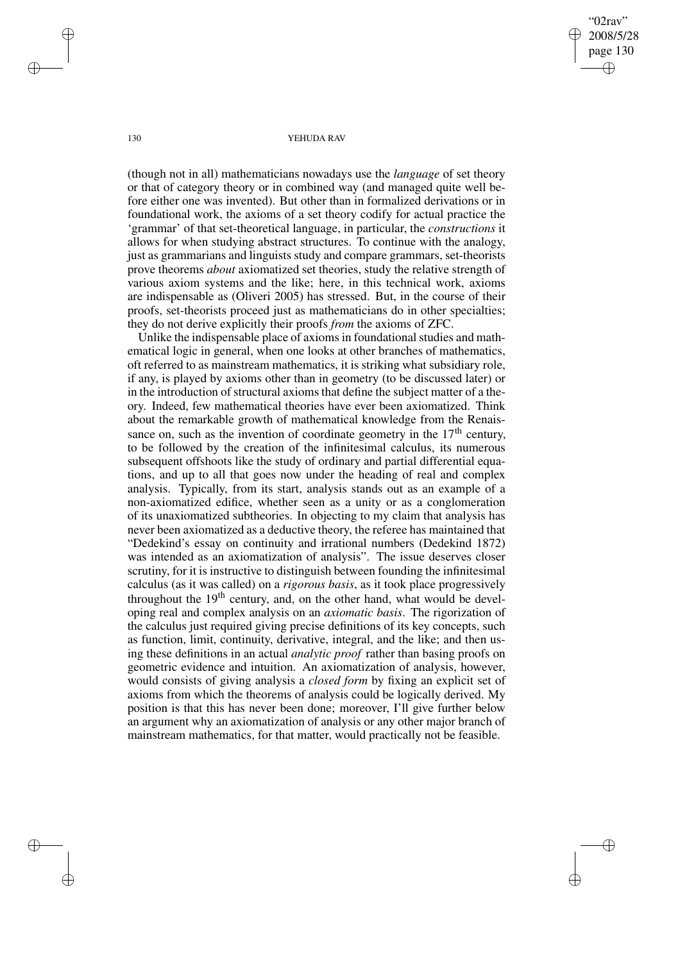"02rav" 2008/5/28 page 130 ✐ ✐

✐

✐

130 YEHUDA RAV

(though not in all) mathematicians nowadays use the *language* of set theory or that of category theory or in combined way (and managed quite well before either one was invented). But other than in formalized derivations or in foundational work, the axioms of a set theory codify for actual practice the 'grammar' of that set-theoretical language, in particular, the *constructions* it allows for when studying abstract structures. To continue with the analogy, just as grammarians and linguists study and compare grammars, set-theorists prove theorems *about* axiomatized set theories, study the relative strength of various axiom systems and the like; here, in this technical work, axioms are indispensable as (Oliveri 2005) has stressed. But, in the course of their proofs, set-theorists proceed just as mathematicians do in other specialties; they do not derive explicitly their proofs *from* the axioms of ZFC.

Unlike the indispensable place of axioms in foundational studies and mathematical logic in general, when one looks at other branches of mathematics, oft referred to as mainstream mathematics, it is striking what subsidiary role, if any, is played by axioms other than in geometry (to be discussed later) or in the introduction of structural axioms that define the subject matter of a theory. Indeed, few mathematical theories have ever been axiomatized. Think about the remarkable growth of mathematical knowledge from the Renaissance on, such as the invention of coordinate geometry in the  $17<sup>th</sup>$  century, to be followed by the creation of the infinitesimal calculus, its numerous subsequent offshoots like the study of ordinary and partial differential equations, and up to all that goes now under the heading of real and complex analysis. Typically, from its start, analysis stands out as an example of a non-axiomatized edifice, whether seen as a unity or as a conglomeration of its unaxiomatized subtheories. In objecting to my claim that analysis has never been axiomatized as a deductive theory, the referee has maintained that "Dedekind's essay on continuity and irrational numbers (Dedekind 1872) was intended as an axiomatization of analysis". The issue deserves closer scrutiny, for it is instructive to distinguish between founding the infinitesimal calculus (as it was called) on a *rigorous basis*, as it took place progressively throughout the 19<sup>th</sup> century, and, on the other hand, what would be developing real and complex analysis on an *axiomatic basis*. The rigorization of the calculus just required giving precise definitions of its key concepts, such as function, limit, continuity, derivative, integral, and the like; and then using these definitions in an actual *analytic proof* rather than basing proofs on geometric evidence and intuition. An axiomatization of analysis, however, would consists of giving analysis a *closed form* by fixing an explicit set of axioms from which the theorems of analysis could be logically derived. My position is that this has never been done; moreover, I'll give further below an argument why an axiomatization of analysis or any other major branch of mainstream mathematics, for that matter, would practically not be feasible.

✐

✐

✐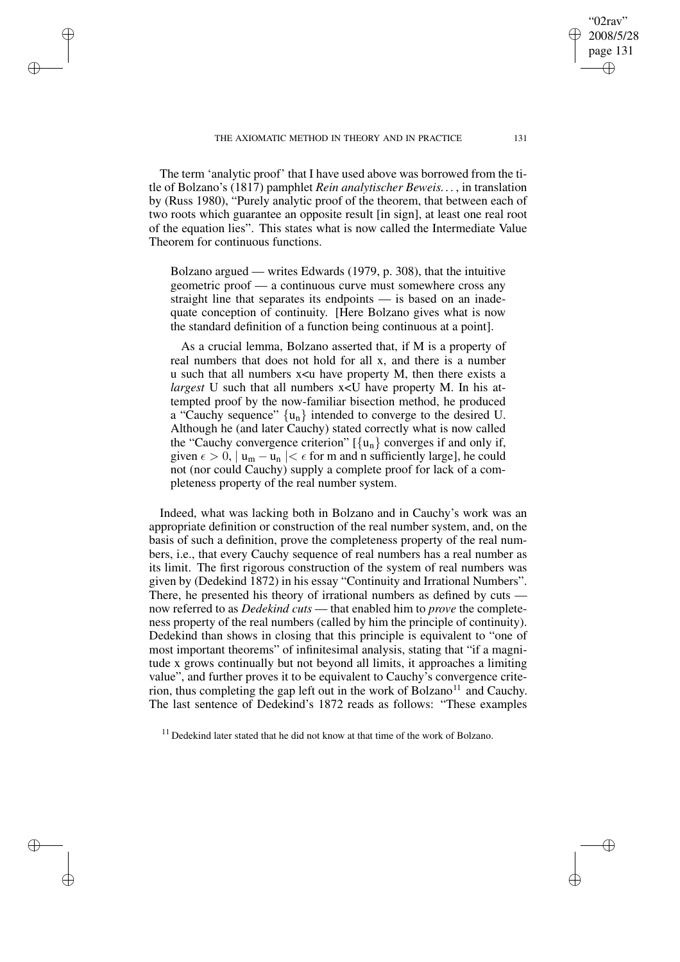THE AXIOMATIC METHOD IN THEORY AND IN PRACTICE 131

✐

✐

✐

✐

The term 'analytic proof' that I have used above was borrowed from the title of Bolzano's (1817) pamphlet *Rein analytischer Beweis. . .* , in translation by (Russ 1980), "Purely analytic proof of the theorem, that between each of two roots which guarantee an opposite result [in sign], at least one real root of the equation lies". This states what is now called the Intermediate Value Theorem for continuous functions.

Bolzano argued — writes Edwards (1979, p. 308), that the intuitive geometric proof — a continuous curve must somewhere cross any straight line that separates its endpoints — is based on an inadequate conception of continuity. [Here Bolzano gives what is now the standard definition of a function being continuous at a point].

As a crucial lemma, Bolzano asserted that, if M is a property of real numbers that does not hold for all x, and there is a number u such that all numbers  $x \lt u$  have property M, then there exists a *largest* U such that all numbers  $x < U$  have property M. In his attempted proof by the now-familiar bisection method, he produced a "Cauchy sequence"  $\{u_n\}$  intended to converge to the desired U. Although he (and later Cauchy) stated correctly what is now called the "Cauchy convergence criterion"  $[\{u_n\}]$  converges if and only if, given  $\epsilon > 0$ ,  $|u_m - u_n| < \epsilon$  for m and n sufficiently large], he could not (nor could Cauchy) supply a complete proof for lack of a completeness property of the real number system.

Indeed, what was lacking both in Bolzano and in Cauchy's work was an appropriate definition or construction of the real number system, and, on the basis of such a definition, prove the completeness property of the real numbers, i.e., that every Cauchy sequence of real numbers has a real number as its limit. The first rigorous construction of the system of real numbers was given by (Dedekind 1872) in his essay "Continuity and Irrational Numbers". There, he presented his theory of irrational numbers as defined by cuts now referred to as *Dedekind cuts* — that enabled him to *prove* the completeness property of the real numbers (called by him the principle of continuity). Dedekind than shows in closing that this principle is equivalent to "one of most important theorems" of infinitesimal analysis, stating that "if a magnitude x grows continually but not beyond all limits, it approaches a limiting value", and further proves it to be equivalent to Cauchy's convergence criterion, thus completing the gap left out in the work of Bolzano<sup>11</sup> and Cauchy. The last sentence of Dedekind's 1872 reads as follows: "These examples

<sup>11</sup> Dedekind later stated that he did not know at that time of the work of Bolzano.

02rav 2008/5/28 page 131

✐

✐

✐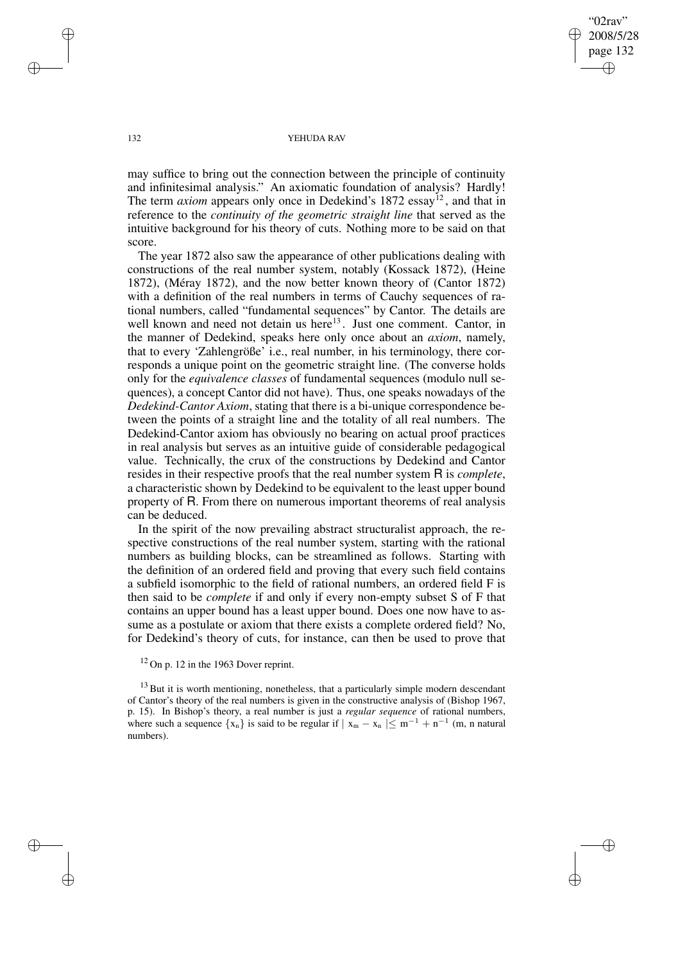"02rav" 2008/5/28 page 132 ✐ ✐

✐

✐

### 132 YEHUDA RAV

may suffice to bring out the connection between the principle of continuity and infinitesimal analysis." An axiomatic foundation of analysis? Hardly! The term *axiom* appears only once in Dedekind's 1872 essay<sup>12</sup>, and that in reference to the *continuity of the geometric straight line* that served as the intuitive background for his theory of cuts. Nothing more to be said on that score.

The year 1872 also saw the appearance of other publications dealing with constructions of the real number system, notably (Kossack 1872), (Heine 1872), (Méray 1872), and the now better known theory of (Cantor 1872) with a definition of the real numbers in terms of Cauchy sequences of rational numbers, called "fundamental sequences" by Cantor. The details are well known and need not detain us here<sup>13</sup>. Just one comment. Cantor, in the manner of Dedekind, speaks here only once about an *axiom*, namely, that to every 'Zahlengröße' i.e., real number, in his terminology, there corresponds a unique point on the geometric straight line. (The converse holds only for the *equivalence classes* of fundamental sequences (modulo null sequences), a concept Cantor did not have). Thus, one speaks nowadays of the *Dedekind-Cantor Axiom*, stating that there is a bi-unique correspondence between the points of a straight line and the totality of all real numbers. The Dedekind-Cantor axiom has obviously no bearing on actual proof practices in real analysis but serves as an intuitive guide of considerable pedagogical value. Technically, the crux of the constructions by Dedekind and Cantor resides in their respective proofs that the real number system R is *complete*, a characteristic shown by Dedekind to be equivalent to the least upper bound property of R. From there on numerous important theorems of real analysis can be deduced.

In the spirit of the now prevailing abstract structuralist approach, the respective constructions of the real number system, starting with the rational numbers as building blocks, can be streamlined as follows. Starting with the definition of an ordered field and proving that every such field contains a subfield isomorphic to the field of rational numbers, an ordered field F is then said to be *complete* if and only if every non-empty subset S of F that contains an upper bound has a least upper bound. Does one now have to assume as a postulate or axiom that there exists a complete ordered field? No, for Dedekind's theory of cuts, for instance, can then be used to prove that

 $12$  On p. 12 in the 1963 Dover reprint.

 $13$  But it is worth mentioning, nonetheless, that a particularly simple modern descendant of Cantor's theory of the real numbers is given in the constructive analysis of (Bishop 1967, p. 15). In Bishop's theory, a real number is just a *regular sequence* of rational numbers, where such a sequence  $\{x_n\}$  is said to be regular if  $|x_m - x_n| \leq m^{-1} + n^{-1}$  (m, n natural numbers).

✐

✐

✐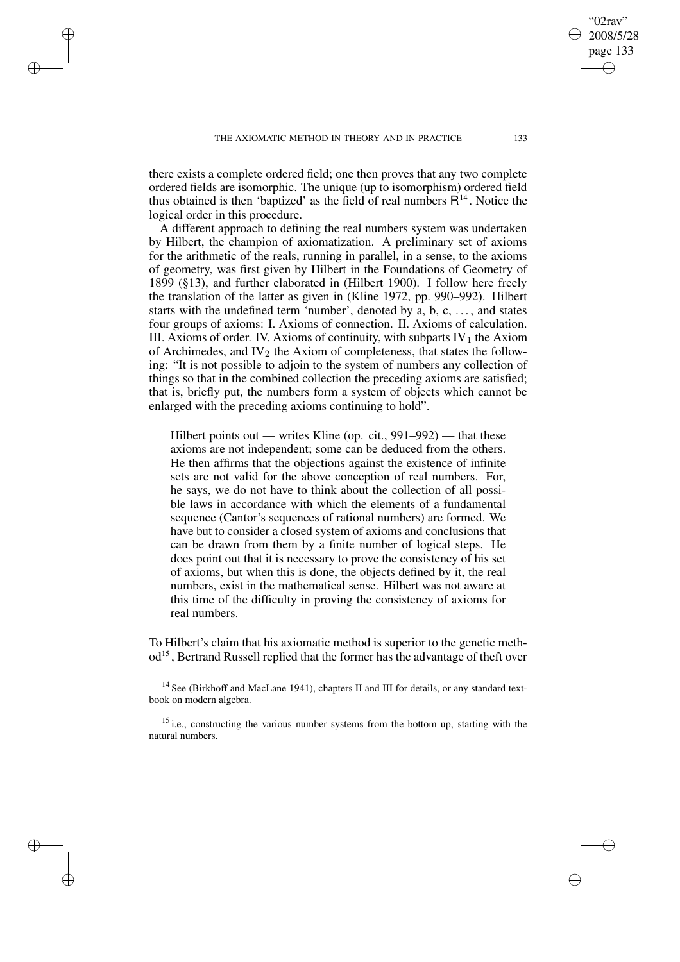✐

✐

✐

there exists a complete ordered field; one then proves that any two complete ordered fields are isomorphic. The unique (up to isomorphism) ordered field thus obtained is then 'baptized' as the field of real numbers  $R^{14}$ . Notice the logical order in this procedure.

A different approach to defining the real numbers system was undertaken by Hilbert, the champion of axiomatization. A preliminary set of axioms for the arithmetic of the reals, running in parallel, in a sense, to the axioms of geometry, was first given by Hilbert in the Foundations of Geometry of 1899 (§13), and further elaborated in (Hilbert 1900). I follow here freely the translation of the latter as given in (Kline 1972, pp. 990–992). Hilbert starts with the undefined term 'number', denoted by a, b, c, . . . , and states four groups of axioms: I. Axioms of connection. II. Axioms of calculation. III. Axioms of order. IV. Axioms of continuity, with subparts  $IV_1$  the Axiom of Archimedes, and  $IV<sub>2</sub>$  the Axiom of completeness, that states the following: "It is not possible to adjoin to the system of numbers any collection of things so that in the combined collection the preceding axioms are satisfied; that is, briefly put, the numbers form a system of objects which cannot be enlarged with the preceding axioms continuing to hold".

Hilbert points out — writes Kline (op. cit., 991–992) — that these axioms are not independent; some can be deduced from the others. He then affirms that the objections against the existence of infinite sets are not valid for the above conception of real numbers. For, he says, we do not have to think about the collection of all possible laws in accordance with which the elements of a fundamental sequence (Cantor's sequences of rational numbers) are formed. We have but to consider a closed system of axioms and conclusions that can be drawn from them by a finite number of logical steps. He does point out that it is necessary to prove the consistency of his set of axioms, but when this is done, the objects defined by it, the real numbers, exist in the mathematical sense. Hilbert was not aware at this time of the difficulty in proving the consistency of axioms for real numbers.

To Hilbert's claim that his axiomatic method is superior to the genetic method<sup>15</sup>, Bertrand Russell replied that the former has the advantage of theft over

<sup>14</sup> See (Birkhoff and MacLane 1941), chapters II and III for details, or any standard textbook on modern algebra.

 $15$  i.e., constructing the various number systems from the bottom up, starting with the natural numbers.

02rav 2008/5/28 page 133

✐

✐

✐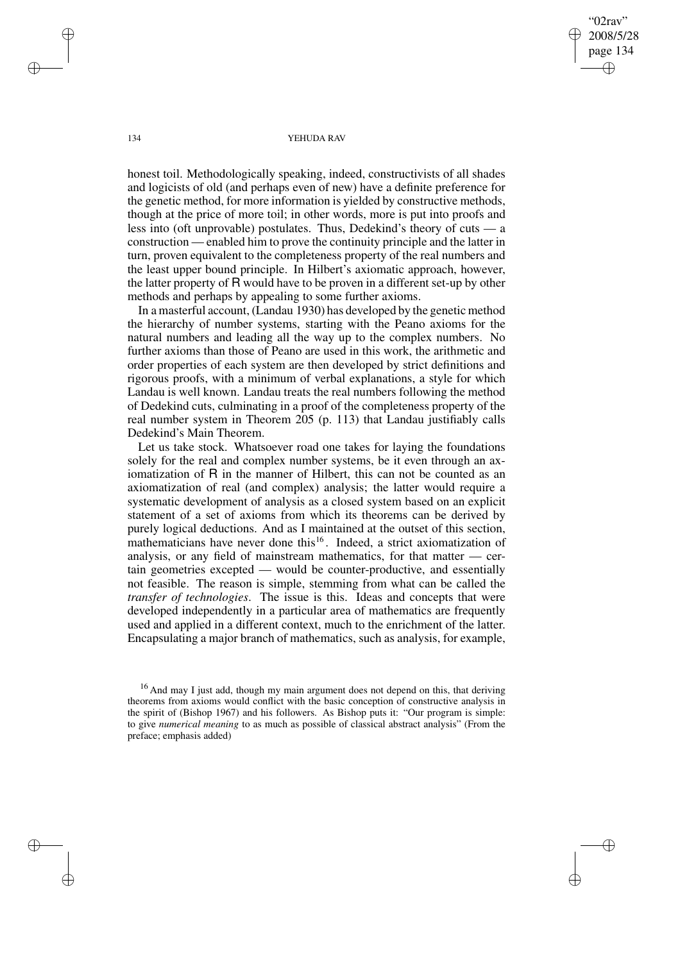02rav 2008/5/28 page 134 ✐ ✐

✐

✐

#### 134 YEHUDA RAV

honest toil. Methodologically speaking, indeed, constructivists of all shades and logicists of old (and perhaps even of new) have a definite preference for the genetic method, for more information is yielded by constructive methods, though at the price of more toil; in other words, more is put into proofs and less into (oft unprovable) postulates. Thus, Dedekind's theory of cuts — a construction — enabled him to prove the continuity principle and the latter in turn, proven equivalent to the completeness property of the real numbers and the least upper bound principle. In Hilbert's axiomatic approach, however, the latter property of R would have to be proven in a different set-up by other methods and perhaps by appealing to some further axioms.

In a masterful account, (Landau 1930) has developed by the genetic method the hierarchy of number systems, starting with the Peano axioms for the natural numbers and leading all the way up to the complex numbers. No further axioms than those of Peano are used in this work, the arithmetic and order properties of each system are then developed by strict definitions and rigorous proofs, with a minimum of verbal explanations, a style for which Landau is well known. Landau treats the real numbers following the method of Dedekind cuts, culminating in a proof of the completeness property of the real number system in Theorem 205 (p. 113) that Landau justifiably calls Dedekind's Main Theorem.

Let us take stock. Whatsoever road one takes for laying the foundations solely for the real and complex number systems, be it even through an axiomatization of R in the manner of Hilbert, this can not be counted as an axiomatization of real (and complex) analysis; the latter would require a systematic development of analysis as a closed system based on an explicit statement of a set of axioms from which its theorems can be derived by purely logical deductions. And as I maintained at the outset of this section, mathematicians have never done this<sup>16</sup>. Indeed, a strict axiomatization of analysis, or any field of mainstream mathematics, for that matter — certain geometries excepted — would be counter-productive, and essentially not feasible. The reason is simple, stemming from what can be called the *transfer of technologies*. The issue is this. Ideas and concepts that were developed independently in a particular area of mathematics are frequently used and applied in a different context, much to the enrichment of the latter. Encapsulating a major branch of mathematics, such as analysis, for example,

✐

✐

✐

<sup>&</sup>lt;sup>16</sup> And may I just add, though my main argument does not depend on this, that deriving theorems from axioms would conflict with the basic conception of constructive analysis in the spirit of (Bishop 1967) and his followers. As Bishop puts it: "Our program is simple: to give *numerical meaning* to as much as possible of classical abstract analysis" (From the preface; emphasis added)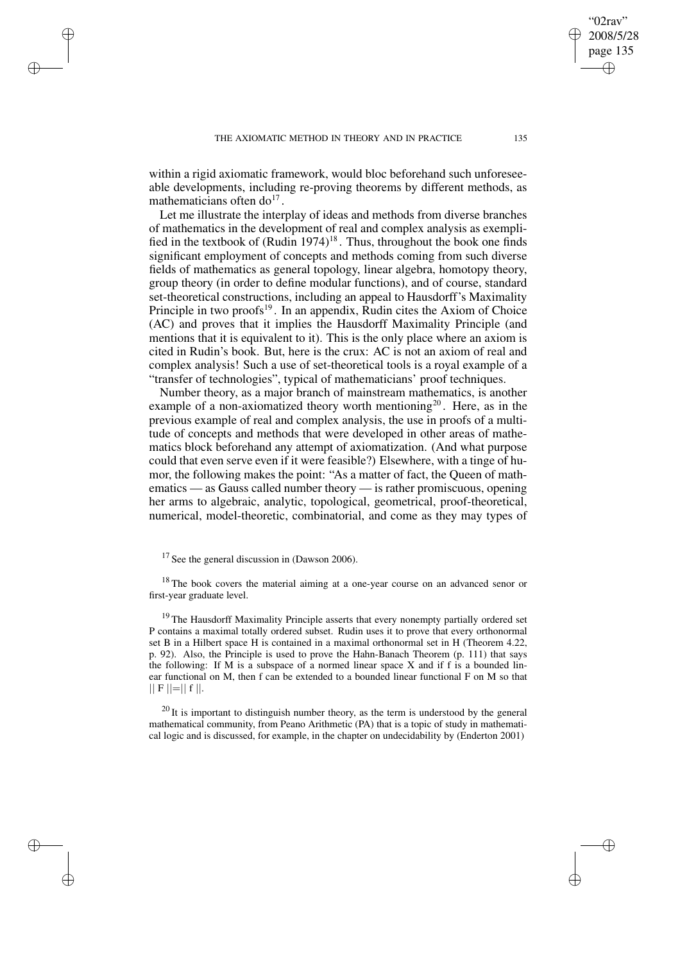✐

✐

✐

within a rigid axiomatic framework, would bloc beforehand such unforeseeable developments, including re-proving theorems by different methods, as mathematicians often  $do<sup>17</sup>$ .

Let me illustrate the interplay of ideas and methods from diverse branches of mathematics in the development of real and complex analysis as exemplified in the textbook of  $(Rudin 1974)^{18}$ . Thus, throughout the book one finds significant employment of concepts and methods coming from such diverse fields of mathematics as general topology, linear algebra, homotopy theory, group theory (in order to define modular functions), and of course, standard set-theoretical constructions, including an appeal to Hausdorff's Maximality Principle in two proofs<sup>19</sup>. In an appendix, Rudin cites the Axiom of Choice (AC) and proves that it implies the Hausdorff Maximality Principle (and mentions that it is equivalent to it). This is the only place where an axiom is cited in Rudin's book. But, here is the crux: AC is not an axiom of real and complex analysis! Such a use of set-theoretical tools is a royal example of a "transfer of technologies", typical of mathematicians' proof techniques.

Number theory, as a major branch of mainstream mathematics, is another example of a non-axiomatized theory worth mentioning<sup>20</sup>. Here, as in the previous example of real and complex analysis, the use in proofs of a multitude of concepts and methods that were developed in other areas of mathematics block beforehand any attempt of axiomatization. (And what purpose could that even serve even if it were feasible?) Elsewhere, with a tinge of humor, the following makes the point: "As a matter of fact, the Queen of mathematics — as Gauss called number theory — is rather promiscuous, opening her arms to algebraic, analytic, topological, geometrical, proof-theoretical, numerical, model-theoretic, combinatorial, and come as they may types of

<sup>18</sup> The book covers the material aiming at a one-year course on an advanced senor or first-year graduate level.

<sup>19</sup> The Hausdorff Maximality Principle asserts that every nonempty partially ordered set P contains a maximal totally ordered subset. Rudin uses it to prove that every orthonormal set B in a Hilbert space H is contained in a maximal orthonormal set in H (Theorem 4.22, p. 92). Also, the Principle is used to prove the Hahn-Banach Theorem (p. 111) that says the following: If M is a subspace of a normed linear space  $X$  and if  $f$  is a bounded linear functional on M, then f can be extended to a bounded linear functional F on M so that  $|| F ||=|| f ||.$ 

 $^{20}$  It is important to distinguish number theory, as the term is understood by the general mathematical community, from Peano Arithmetic (PA) that is a topic of study in mathematical logic and is discussed, for example, in the chapter on undecidability by (Enderton 2001)

02rav 2008/5/28 page 135

✐

✐

✐

 $17$  See the general discussion in (Dawson 2006).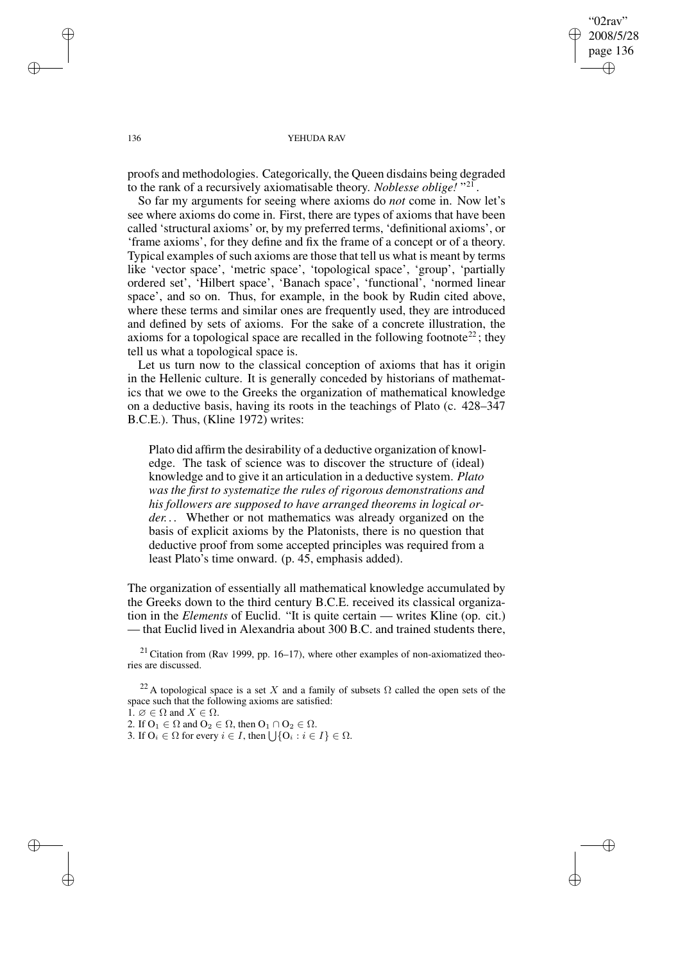"02rav" 2008/5/28 page 136 ✐ ✐

✐

✐

### 136 YEHUDA RAV

proofs and methodologies. Categorically, the Queen disdains being degraded to the rank of a recursively axiomatisable theory. *Noblesse oblige!* " 21 .

So far my arguments for seeing where axioms do *not* come in. Now let's see where axioms do come in. First, there are types of axioms that have been called 'structural axioms' or, by my preferred terms, 'definitional axioms', or 'frame axioms', for they define and fix the frame of a concept or of a theory. Typical examples of such axioms are those that tell us what is meant by terms like 'vector space', 'metric space', 'topological space', 'group', 'partially ordered set', 'Hilbert space', 'Banach space', 'functional', 'normed linear space', and so on. Thus, for example, in the book by Rudin cited above, where these terms and similar ones are frequently used, they are introduced and defined by sets of axioms. For the sake of a concrete illustration, the axioms for a topological space are recalled in the following footnote<sup>22</sup>; they tell us what a topological space is.

Let us turn now to the classical conception of axioms that has it origin in the Hellenic culture. It is generally conceded by historians of mathematics that we owe to the Greeks the organization of mathematical knowledge on a deductive basis, having its roots in the teachings of Plato (c. 428–347 B.C.E.). Thus, (Kline 1972) writes:

Plato did affirm the desirability of a deductive organization of knowledge. The task of science was to discover the structure of (ideal) knowledge and to give it an articulation in a deductive system. *Plato was the first to systematize the rules of rigorous demonstrations and his followers are supposed to have arranged theorems in logical order. . .* Whether or not mathematics was already organized on the basis of explicit axioms by the Platonists, there is no question that deductive proof from some accepted principles was required from a least Plato's time onward. (p. 45, emphasis added).

The organization of essentially all mathematical knowledge accumulated by the Greeks down to the third century B.C.E. received its classical organization in the *Elements* of Euclid. "It is quite certain — writes Kline (op. cit.) — that Euclid lived in Alexandria about 300 B.C. and trained students there,

 $21$  Citation from (Rav 1999, pp. 16–17), where other examples of non-axiomatized theories are discussed.

<sup>22</sup> A topological space is a set X and a family of subsets  $\Omega$  called the open sets of the space such that the following axioms are satisfied: 1.  $\emptyset \in \Omega$  and  $X \in \Omega$ .

2. If  $O_1 \in \Omega$  and  $O_2 \in \Omega$ , then  $O_1 \cap O_2 \in \Omega$ .

3. If  $O_i \in \Omega$  for every  $i \in I$ , then  $\bigcup \{O_i : i \in I\} \in \Omega$ .

✐

✐

✐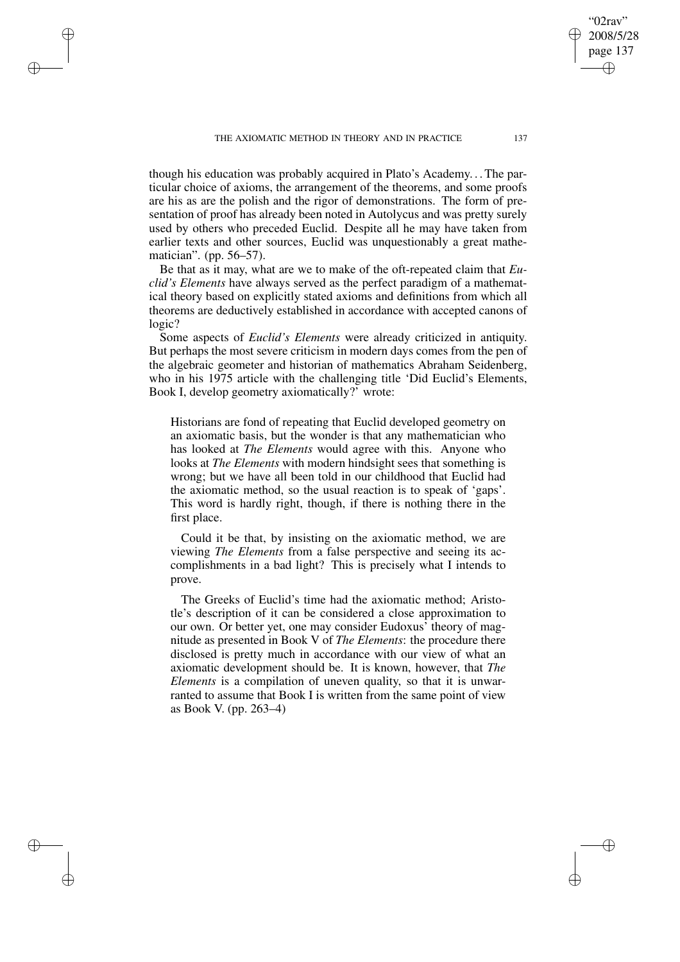THE AXIOMATIC METHOD IN THEORY AND IN PRACTICE 137

✐

✐

✐

✐

though his education was probably acquired in Plato's Academy. . .The particular choice of axioms, the arrangement of the theorems, and some proofs are his as are the polish and the rigor of demonstrations. The form of presentation of proof has already been noted in Autolycus and was pretty surely used by others who preceded Euclid. Despite all he may have taken from earlier texts and other sources, Euclid was unquestionably a great mathematician". (pp. 56–57).

Be that as it may, what are we to make of the oft-repeated claim that *Euclid's Elements* have always served as the perfect paradigm of a mathematical theory based on explicitly stated axioms and definitions from which all theorems are deductively established in accordance with accepted canons of logic?

Some aspects of *Euclid's Elements* were already criticized in antiquity. But perhaps the most severe criticism in modern days comes from the pen of the algebraic geometer and historian of mathematics Abraham Seidenberg, who in his 1975 article with the challenging title 'Did Euclid's Elements, Book I, develop geometry axiomatically?' wrote:

Historians are fond of repeating that Euclid developed geometry on an axiomatic basis, but the wonder is that any mathematician who has looked at *The Elements* would agree with this. Anyone who looks at *The Elements* with modern hindsight sees that something is wrong; but we have all been told in our childhood that Euclid had the axiomatic method, so the usual reaction is to speak of 'gaps'. This word is hardly right, though, if there is nothing there in the first place.

Could it be that, by insisting on the axiomatic method, we are viewing *The Elements* from a false perspective and seeing its accomplishments in a bad light? This is precisely what I intends to prove.

The Greeks of Euclid's time had the axiomatic method; Aristotle's description of it can be considered a close approximation to our own. Or better yet, one may consider Eudoxus' theory of magnitude as presented in Book V of *The Elements*: the procedure there disclosed is pretty much in accordance with our view of what an axiomatic development should be. It is known, however, that *The Elements* is a compilation of uneven quality, so that it is unwarranted to assume that Book I is written from the same point of view as Book V. (pp. 263–4)

"02rav" 2008/5/28 page 137

✐

✐

✐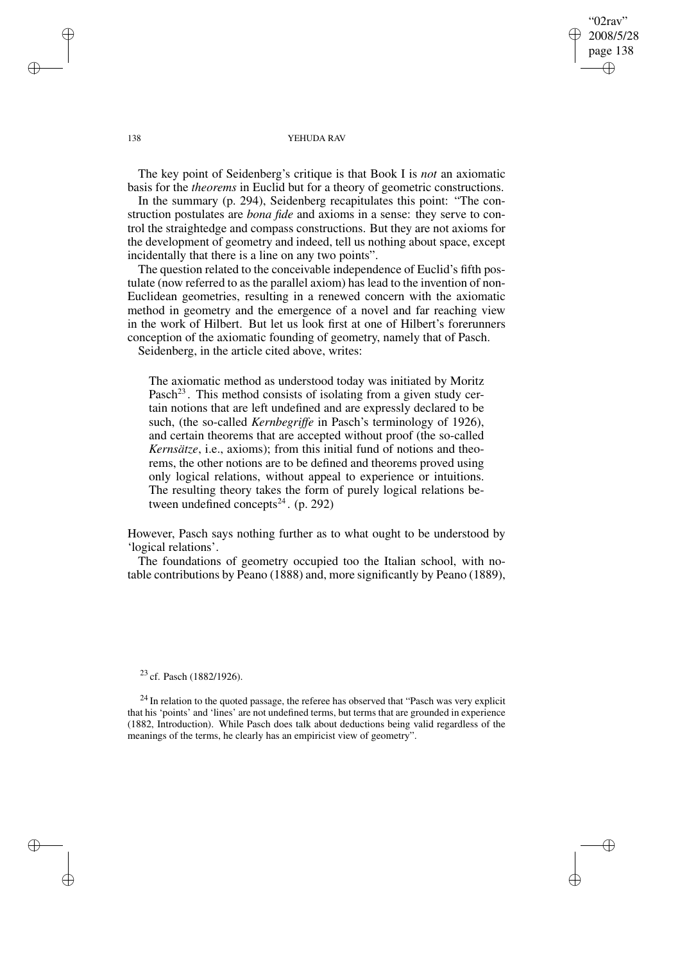"02rav" 2008/5/28 page 138 ✐ ✐

✐

✐

### 138 YEHUDA RAV

The key point of Seidenberg's critique is that Book I is *not* an axiomatic basis for the *theorems* in Euclid but for a theory of geometric constructions.

In the summary (p. 294), Seidenberg recapitulates this point: "The construction postulates are *bona fide* and axioms in a sense: they serve to control the straightedge and compass constructions. But they are not axioms for the development of geometry and indeed, tell us nothing about space, except incidentally that there is a line on any two points".

The question related to the conceivable independence of Euclid's fifth postulate (now referred to as the parallel axiom) has lead to the invention of non-Euclidean geometries, resulting in a renewed concern with the axiomatic method in geometry and the emergence of a novel and far reaching view in the work of Hilbert. But let us look first at one of Hilbert's forerunners conception of the axiomatic founding of geometry, namely that of Pasch.

Seidenberg, in the article cited above, writes:

The axiomatic method as understood today was initiated by Moritz Pasch<sup>23</sup>. This method consists of isolating from a given study certain notions that are left undefined and are expressly declared to be such, (the so-called *Kernbegriffe* in Pasch's terminology of 1926), and certain theorems that are accepted without proof (the so-called *Kernsätze*, i.e., axioms); from this initial fund of notions and theorems, the other notions are to be defined and theorems proved using only logical relations, without appeal to experience or intuitions. The resulting theory takes the form of purely logical relations between undefined concepts<sup>24</sup>.  $(p. 292)$ 

However, Pasch says nothing further as to what ought to be understood by 'logical relations'.

The foundations of geometry occupied too the Italian school, with notable contributions by Peano (1888) and, more significantly by Peano (1889),

 $23$  cf. Pasch (1882/1926).

 $^{24}$  In relation to the quoted passage, the referee has observed that "Pasch was very explicit that his 'points' and 'lines' are not undefined terms, but terms that are grounded in experience (1882, Introduction). While Pasch does talk about deductions being valid regardless of the meanings of the terms, he clearly has an empiricist view of geometry".

✐

✐

✐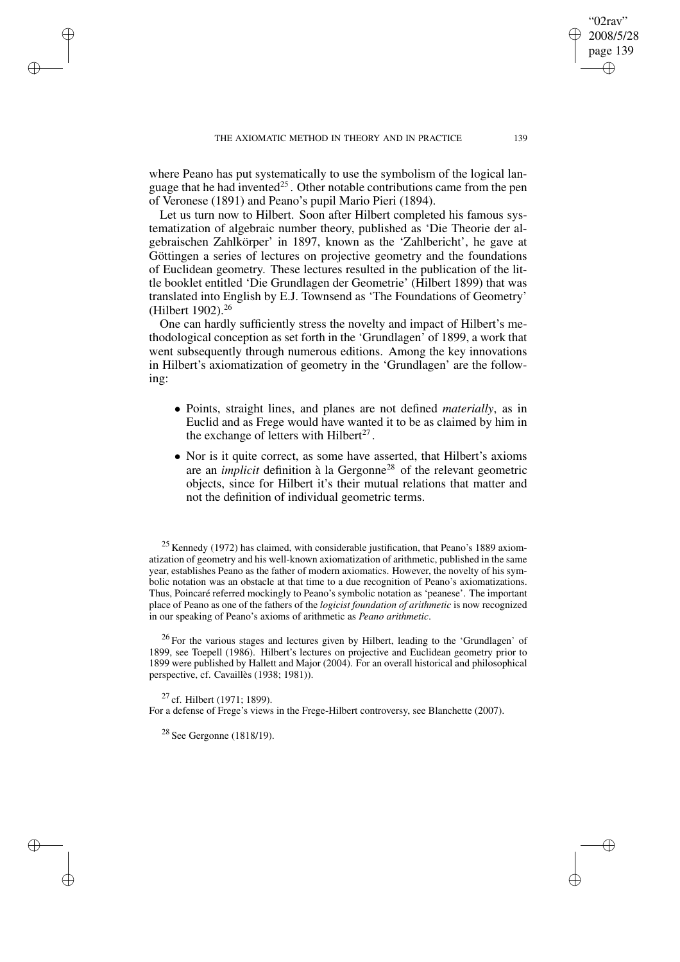where Peano has put systematically to use the symbolism of the logical language that he had invented<sup>25</sup>. Other notable contributions came from the pen of Veronese (1891) and Peano's pupil Mario Pieri (1894).

Let us turn now to Hilbert. Soon after Hilbert completed his famous systematization of algebraic number theory, published as 'Die Theorie der algebraischen Zahlkörper' in 1897, known as the 'Zahlbericht', he gave at Göttingen a series of lectures on projective geometry and the foundations of Euclidean geometry. These lectures resulted in the publication of the little booklet entitled 'Die Grundlagen der Geometrie' (Hilbert 1899) that was translated into English by E.J. Townsend as 'The Foundations of Geometry' (Hilbert 1902).<sup>26</sup>

One can hardly sufficiently stress the novelty and impact of Hilbert's methodological conception as set forth in the 'Grundlagen' of 1899, a work that went subsequently through numerous editions. Among the key innovations in Hilbert's axiomatization of geometry in the 'Grundlagen' are the following:

- Points, straight lines, and planes are not defined *materially*, as in Euclid and as Frege would have wanted it to be as claimed by him in the exchange of letters with Hilbert<sup>27</sup>.
- Nor is it quite correct, as some have asserted, that Hilbert's axioms are an *implicit* definition à la Gergonne<sup>28</sup> of the relevant geometric objects, since for Hilbert it's their mutual relations that matter and not the definition of individual geometric terms.

 $25$  Kennedy (1972) has claimed, with considerable justification, that Peano's 1889 axiomatization of geometry and his well-known axiomatization of arithmetic, published in the same year, establishes Peano as the father of modern axiomatics. However, the novelty of his symbolic notation was an obstacle at that time to a due recognition of Peano's axiomatizations. Thus, Poincaré referred mockingly to Peano's symbolic notation as 'peanese'. The important place of Peano as one of the fathers of the *logicist foundation of arithmetic* is now recognized in our speaking of Peano's axioms of arithmetic as *Peano arithmetic*.

<sup>26</sup> For the various stages and lectures given by Hilbert, leading to the 'Grundlagen' of 1899, see Toepell (1986). Hilbert's lectures on projective and Euclidean geometry prior to 1899 were published by Hallett and Major (2004). For an overall historical and philosophical perspective, cf. Cavaillès (1938; 1981)).

<sup>27</sup> cf. Hilbert (1971; 1899).

✐

✐

✐

✐

For a defense of Frege's views in the Frege-Hilbert controversy, see Blanchette (2007).

 $28$  See Gergonne (1818/19).

02rav 2008/5/28 page 139

✐

✐

✐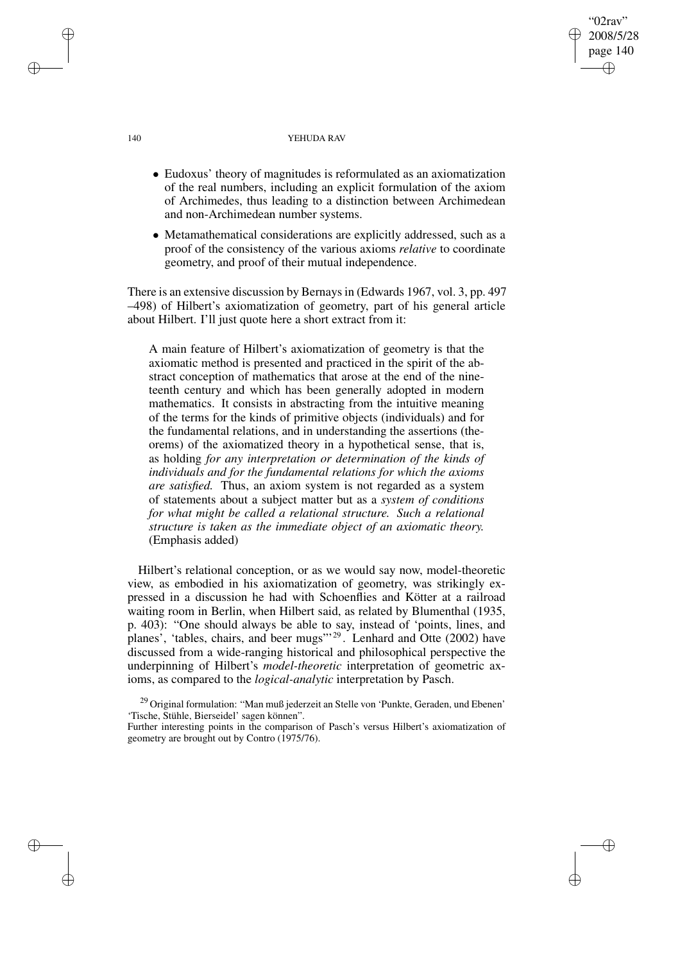# 140 YEHUDA RAV

"02rav" 2008/5/28 page 140

✐

✐

✐

✐

- Eudoxus' theory of magnitudes is reformulated as an axiomatization of the real numbers, including an explicit formulation of the axiom of Archimedes, thus leading to a distinction between Archimedean and non-Archimedean number systems.
- Metamathematical considerations are explicitly addressed, such as a proof of the consistency of the various axioms *relative* to coordinate geometry, and proof of their mutual independence.

There is an extensive discussion by Bernaysin (Edwards 1967, vol. 3, pp. 497 –498) of Hilbert's axiomatization of geometry, part of his general article about Hilbert. I'll just quote here a short extract from it:

A main feature of Hilbert's axiomatization of geometry is that the axiomatic method is presented and practiced in the spirit of the abstract conception of mathematics that arose at the end of the nineteenth century and which has been generally adopted in modern mathematics. It consists in abstracting from the intuitive meaning of the terms for the kinds of primitive objects (individuals) and for the fundamental relations, and in understanding the assertions (theorems) of the axiomatized theory in a hypothetical sense, that is, as holding *for any interpretation or determination of the kinds of individuals and for the fundamental relations for which the axioms are satisfied.* Thus, an axiom system is not regarded as a system of statements about a subject matter but as a *system of conditions for what might be called a relational structure. Such a relational structure is taken as the immediate object of an axiomatic theory.* (Emphasis added)

Hilbert's relational conception, or as we would say now, model-theoretic view, as embodied in his axiomatization of geometry, was strikingly expressed in a discussion he had with Schoenflies and Kötter at a railroad waiting room in Berlin, when Hilbert said, as related by Blumenthal (1935, p. 403): "One should always be able to say, instead of 'points, lines, and planes', 'tables, chairs, and beer mugs"<sup>29</sup>. Lenhard and Otte (2002) have discussed from a wide-ranging historical and philosophical perspective the underpinning of Hilbert's *model-theoretic* interpretation of geometric axioms, as compared to the *logical-analytic* interpretation by Pasch.

<sup>29</sup> Original formulation: "Man muß jederzeit an Stelle von 'Punkte, Geraden, und Ebenen' 'Tische, Stühle, Bierseidel' sagen können".

Further interesting points in the comparison of Pasch's versus Hilbert's axiomatization of geometry are brought out by Contro (1975/76).

✐

✐

✐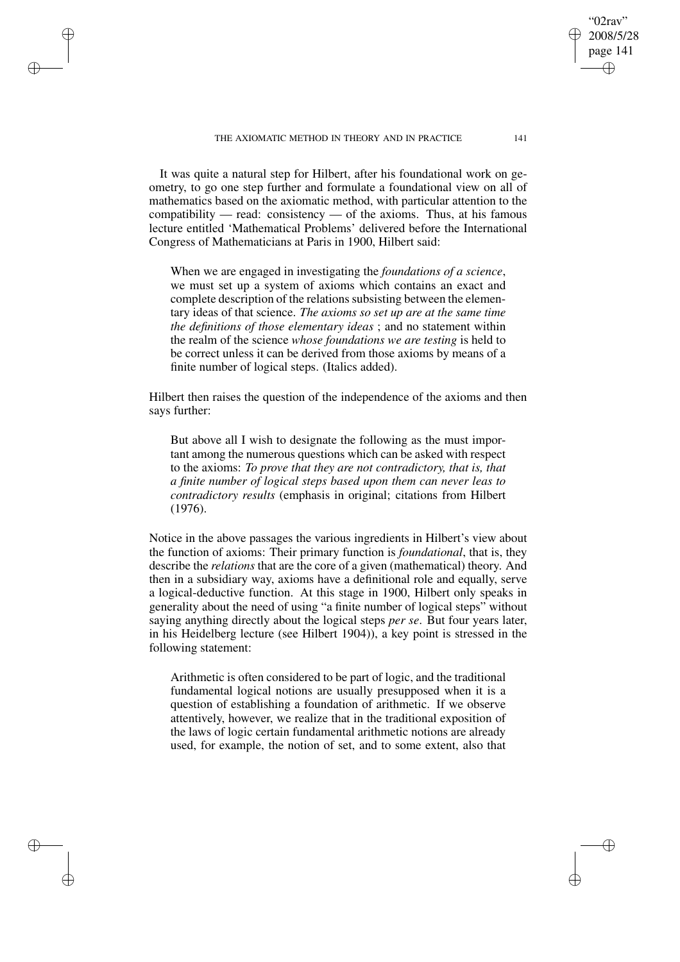THE AXIOMATIC METHOD IN THEORY AND IN PRACTICE 141

✐

✐

✐

✐

It was quite a natural step for Hilbert, after his foundational work on geometry, to go one step further and formulate a foundational view on all of mathematics based on the axiomatic method, with particular attention to the compatibility — read: consistency — of the axioms. Thus, at his famous lecture entitled 'Mathematical Problems' delivered before the International Congress of Mathematicians at Paris in 1900, Hilbert said:

When we are engaged in investigating the *foundations of a science*, we must set up a system of axioms which contains an exact and complete description of the relations subsisting between the elementary ideas of that science. *The axioms so set up are at the same time the definitions of those elementary ideas* ; and no statement within the realm of the science *whose foundations we are testing* is held to be correct unless it can be derived from those axioms by means of a finite number of logical steps. (Italics added).

Hilbert then raises the question of the independence of the axioms and then says further:

But above all I wish to designate the following as the must important among the numerous questions which can be asked with respect to the axioms: *To prove that they are not contradictory, that is, that a finite number of logical steps based upon them can never leas to contradictory results* (emphasis in original; citations from Hilbert (1976).

Notice in the above passages the various ingredients in Hilbert's view about the function of axioms: Their primary function is *foundational*, that is, they describe the *relations* that are the core of a given (mathematical) theory. And then in a subsidiary way, axioms have a definitional role and equally, serve a logical-deductive function. At this stage in 1900, Hilbert only speaks in generality about the need of using "a finite number of logical steps" without saying anything directly about the logical steps *per se*. But four years later, in his Heidelberg lecture (see Hilbert 1904)), a key point is stressed in the following statement:

Arithmetic is often considered to be part of logic, and the traditional fundamental logical notions are usually presupposed when it is a question of establishing a foundation of arithmetic. If we observe attentively, however, we realize that in the traditional exposition of the laws of logic certain fundamental arithmetic notions are already used, for example, the notion of set, and to some extent, also that

02rav 2008/5/28 page 141

✐

✐

✐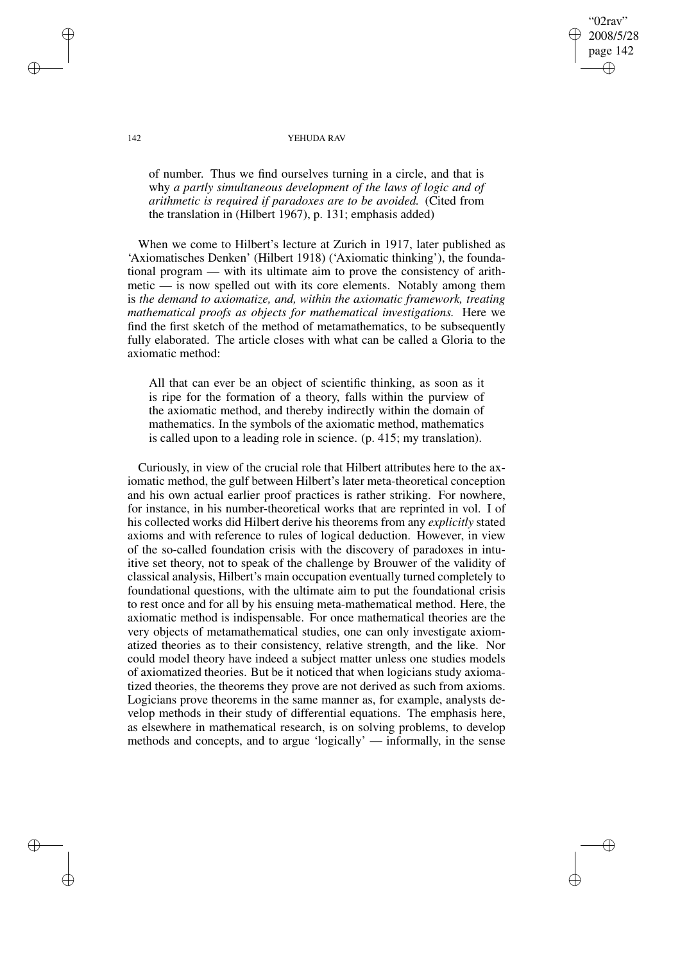## 02rav 2008/5/28 page 142 ✐ ✐

✐

✐

### 142 YEHUDA RAV

of number. Thus we find ourselves turning in a circle, and that is why *a partly simultaneous development of the laws of logic and of arithmetic is required if paradoxes are to be avoided.* (Cited from the translation in (Hilbert 1967), p. 131; emphasis added)

When we come to Hilbert's lecture at Zurich in 1917, later published as 'Axiomatisches Denken' (Hilbert 1918) ('Axiomatic thinking'), the foundational program — with its ultimate aim to prove the consistency of arithmetic — is now spelled out with its core elements. Notably among them is *the demand to axiomatize, and, within the axiomatic framework, treating mathematical proofs as objects for mathematical investigations.* Here we find the first sketch of the method of metamathematics, to be subsequently fully elaborated. The article closes with what can be called a Gloria to the axiomatic method:

All that can ever be an object of scientific thinking, as soon as it is ripe for the formation of a theory, falls within the purview of the axiomatic method, and thereby indirectly within the domain of mathematics. In the symbols of the axiomatic method, mathematics is called upon to a leading role in science. (p. 415; my translation).

Curiously, in view of the crucial role that Hilbert attributes here to the axiomatic method, the gulf between Hilbert's later meta-theoretical conception and his own actual earlier proof practices is rather striking. For nowhere, for instance, in his number-theoretical works that are reprinted in vol. I of his collected works did Hilbert derive his theorems from any *explicitly* stated axioms and with reference to rules of logical deduction. However, in view of the so-called foundation crisis with the discovery of paradoxes in intuitive set theory, not to speak of the challenge by Brouwer of the validity of classical analysis, Hilbert's main occupation eventually turned completely to foundational questions, with the ultimate aim to put the foundational crisis to rest once and for all by his ensuing meta-mathematical method. Here, the axiomatic method is indispensable. For once mathematical theories are the very objects of metamathematical studies, one can only investigate axiomatized theories as to their consistency, relative strength, and the like. Nor could model theory have indeed a subject matter unless one studies models of axiomatized theories. But be it noticed that when logicians study axiomatized theories, the theorems they prove are not derived as such from axioms. Logicians prove theorems in the same manner as, for example, analysts develop methods in their study of differential equations. The emphasis here, as elsewhere in mathematical research, is on solving problems, to develop methods and concepts, and to argue 'logically' — informally, in the sense

✐

✐

✐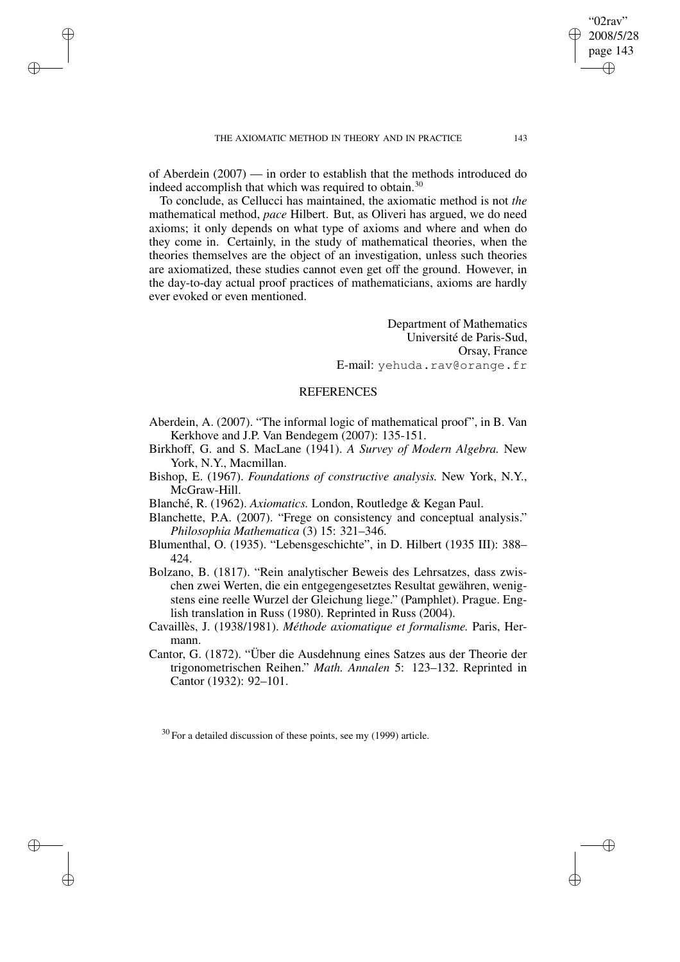✐

✐

✐

of Aberdein (2007) — in order to establish that the methods introduced do indeed accomplish that which was required to obtain.<sup>30</sup>

To conclude, as Cellucci has maintained, the axiomatic method is not *the* mathematical method, *pace* Hilbert. But, as Oliveri has argued, we do need axioms; it only depends on what type of axioms and where and when do they come in. Certainly, in the study of mathematical theories, when the theories themselves are the object of an investigation, unless such theories are axiomatized, these studies cannot even get off the ground. However, in the day-to-day actual proof practices of mathematicians, axioms are hardly ever evoked or even mentioned.

> Department of Mathematics Université de Paris-Sud, Orsay, France E-mail: yehuda.rav@orange.fr

# REFERENCES

- Aberdein, A. (2007). "The informal logic of mathematical proof", in B. Van Kerkhove and J.P. Van Bendegem (2007): 135-151.
- Birkhoff, G. and S. MacLane (1941). *A Survey of Modern Algebra.* New York, N.Y., Macmillan.
- Bishop, E. (1967). *Foundations of constructive analysis.* New York, N.Y., McGraw-Hill.
- Blanché, R. (1962). *Axiomatics.* London, Routledge & Kegan Paul.
- Blanchette, P.A. (2007). "Frege on consistency and conceptual analysis." *Philosophia Mathematica* (3) 15: 321–346.
- Blumenthal, O. (1935). "Lebensgeschichte", in D. Hilbert (1935 III): 388– 424.
- Bolzano, B. (1817). "Rein analytischer Beweis des Lehrsatzes, dass zwischen zwei Werten, die ein entgegengesetztes Resultat gewähren, wenigstens eine reelle Wurzel der Gleichung liege." (Pamphlet). Prague. English translation in Russ (1980). Reprinted in Russ (2004).
- Cavaillès, J. (1938/1981). *Méthode axiomatique et formalisme.* Paris, Hermann.
- Cantor, G. (1872). "Über die Ausdehnung eines Satzes aus der Theorie der trigonometrischen Reihen." *Math. Annalen* 5: 123–132. Reprinted in Cantor (1932): 92–101.

 $30$  For a detailed discussion of these points, see my (1999) article.

"02rav" 2008/5/28 page 143

✐

✐

✐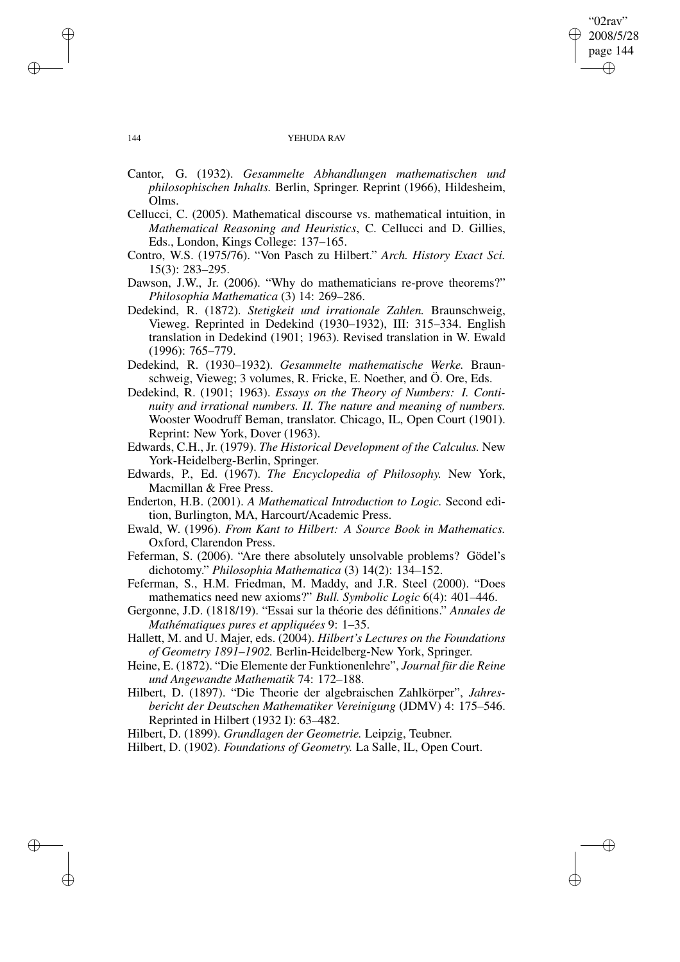## "02rav" 2008/5/28 page 144 ✐ ✐

✐

✐

### 144 YEHUDA RAV

- Cantor, G. (1932). *Gesammelte Abhandlungen mathematischen und philosophischen Inhalts.* Berlin, Springer. Reprint (1966), Hildesheim, Olms.
- Cellucci, C. (2005). Mathematical discourse vs. mathematical intuition, in *Mathematical Reasoning and Heuristics*, C. Cellucci and D. Gillies, Eds., London, Kings College: 137–165.
- Contro, W.S. (1975/76). "Von Pasch zu Hilbert." *Arch. History Exact Sci.* 15(3): 283–295.
- Dawson, J.W., Jr. (2006). "Why do mathematicians re-prove theorems?" *Philosophia Mathematica* (3) 14: 269–286.
- Dedekind, R. (1872). *Stetigkeit und irrationale Zahlen.* Braunschweig, Vieweg. Reprinted in Dedekind (1930–1932), III: 315–334. English translation in Dedekind (1901; 1963). Revised translation in W. Ewald (1996): 765–779.
- Dedekind, R. (1930–1932). *Gesammelte mathematische Werke.* Braunschweig, Vieweg; 3 volumes, R. Fricke, E. Noether, and Ö. Ore, Eds.
- Dedekind, R. (1901; 1963). *Essays on the Theory of Numbers: I. Continuity and irrational numbers. II. The nature and meaning of numbers.* Wooster Woodruff Beman, translator. Chicago, IL, Open Court (1901). Reprint: New York, Dover (1963).
- Edwards, C.H., Jr. (1979). *The Historical Development of the Calculus.* New York-Heidelberg-Berlin, Springer.
- Edwards, P., Ed. (1967). *The Encyclopedia of Philosophy.* New York, Macmillan & Free Press.
- Enderton, H.B. (2001). *A Mathematical Introduction to Logic.* Second edition, Burlington, MA, Harcourt/Academic Press.
- Ewald, W. (1996). *From Kant to Hilbert: A Source Book in Mathematics.* Oxford, Clarendon Press.
- Feferman, S. (2006). "Are there absolutely unsolvable problems? Gödel's dichotomy." *Philosophia Mathematica* (3) 14(2): 134–152.
- Feferman, S., H.M. Friedman, M. Maddy, and J.R. Steel (2000). "Does mathematics need new axioms?" *Bull. Symbolic Logic* 6(4): 401–446.
- Gergonne, J.D. (1818/19). "Essai sur la théorie des définitions." *Annales de Mathématiques pures et appliquées* 9: 1–35.
- Hallett, M. and U. Majer, eds. (2004). *Hilbert's Lectures on the Foundations of Geometry 1891–1902.* Berlin-Heidelberg-New York, Springer.
- Heine, E. (1872). "Die Elemente der Funktionenlehre", *Journal für die Reine und Angewandte Mathematik* 74: 172–188.
- Hilbert, D. (1897). "Die Theorie der algebraischen Zahlkörper", *Jahresbericht der Deutschen Mathematiker Vereinigung* (JDMV) 4: 175–546. Reprinted in Hilbert (1932 I): 63–482.

Hilbert, D. (1899). *Grundlagen der Geometrie.* Leipzig, Teubner.

Hilbert, D. (1902). *Foundations of Geometry.* La Salle, IL, Open Court.

✐

✐

✐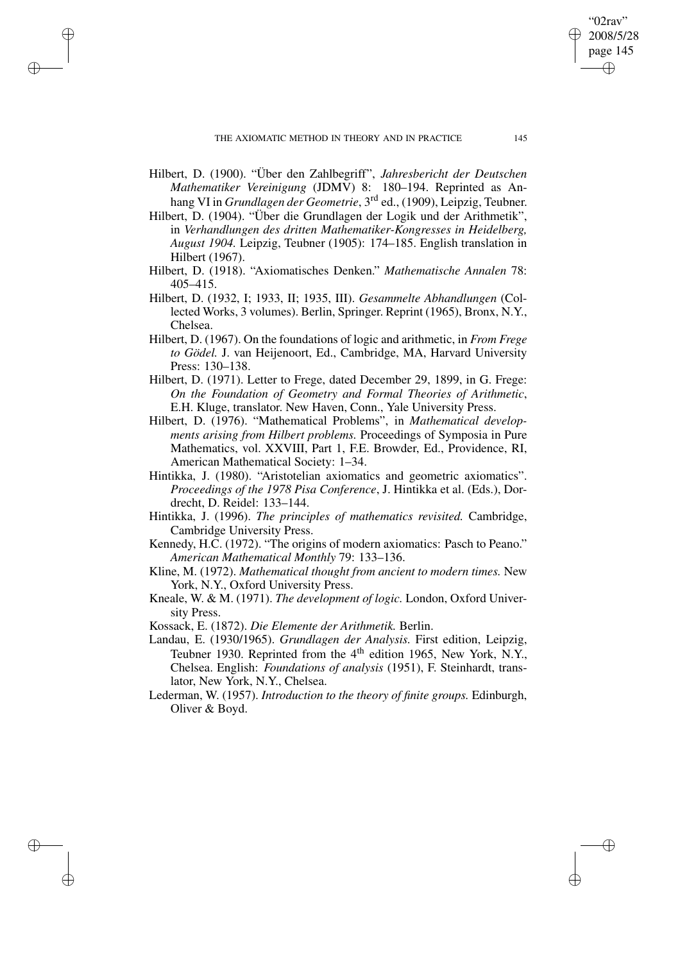✐

✐

✐

- Hilbert, D. (1900). "Über den Zahlbegriff", *Jahresbericht der Deutschen Mathematiker Vereinigung* (JDMV) 8: 180–194. Reprinted as Anhang VI in *Grundlagen der Geometrie*, 3 rd ed., (1909), Leipzig, Teubner.
- Hilbert, D. (1904). "Über die Grundlagen der Logik und der Arithmetik", in *Verhandlungen des dritten Mathematiker-Kongresses in Heidelberg, August 1904.* Leipzig, Teubner (1905): 174–185. English translation in Hilbert (1967).
- Hilbert, D. (1918). "Axiomatisches Denken." *Mathematische Annalen* 78: 405–415.
- Hilbert, D. (1932, I; 1933, II; 1935, III). *Gesammelte Abhandlungen* (Collected Works, 3 volumes). Berlin, Springer. Reprint (1965), Bronx, N.Y., Chelsea.
- Hilbert, D. (1967). On the foundations of logic and arithmetic, in *From Frege to Gödel.* J. van Heijenoort, Ed., Cambridge, MA, Harvard University Press: 130–138.
- Hilbert, D. (1971). Letter to Frege, dated December 29, 1899, in G. Frege: *On the Foundation of Geometry and Formal Theories of Arithmetic*, E.H. Kluge, translator. New Haven, Conn., Yale University Press.
- Hilbert, D. (1976). "Mathematical Problems", in *Mathematical developments arising from Hilbert problems.* Proceedings of Symposia in Pure Mathematics, vol. XXVIII, Part 1, F.E. Browder, Ed., Providence, RI, American Mathematical Society: 1–34.
- Hintikka, J. (1980). "Aristotelian axiomatics and geometric axiomatics". *Proceedings of the 1978 Pisa Conference*, J. Hintikka et al. (Eds.), Dordrecht, D. Reidel: 133–144.
- Hintikka, J. (1996). *The principles of mathematics revisited.* Cambridge, Cambridge University Press.
- Kennedy, H.C. (1972). "The origins of modern axiomatics: Pasch to Peano." *American Mathematical Monthly* 79: 133–136.
- Kline, M. (1972). *Mathematical thought from ancient to modern times.* New York, N.Y., Oxford University Press.
- Kneale, W. & M. (1971). *The development of logic.* London, Oxford University Press.
- Kossack, E. (1872). *Die Elemente der Arithmetik.* Berlin.
- Landau, E. (1930/1965). *Grundlagen der Analysis.* First edition, Leipzig, Teubner 1930. Reprinted from the  $4<sup>th</sup>$  edition 1965, New York, N.Y., Chelsea. English: *Foundations of analysis* (1951), F. Steinhardt, translator, New York, N.Y., Chelsea.
- Lederman, W. (1957). *Introduction to the theory of finite groups.* Edinburgh, Oliver & Boyd.

"02rav" 2008/5/28 page 145

✐

✐

✐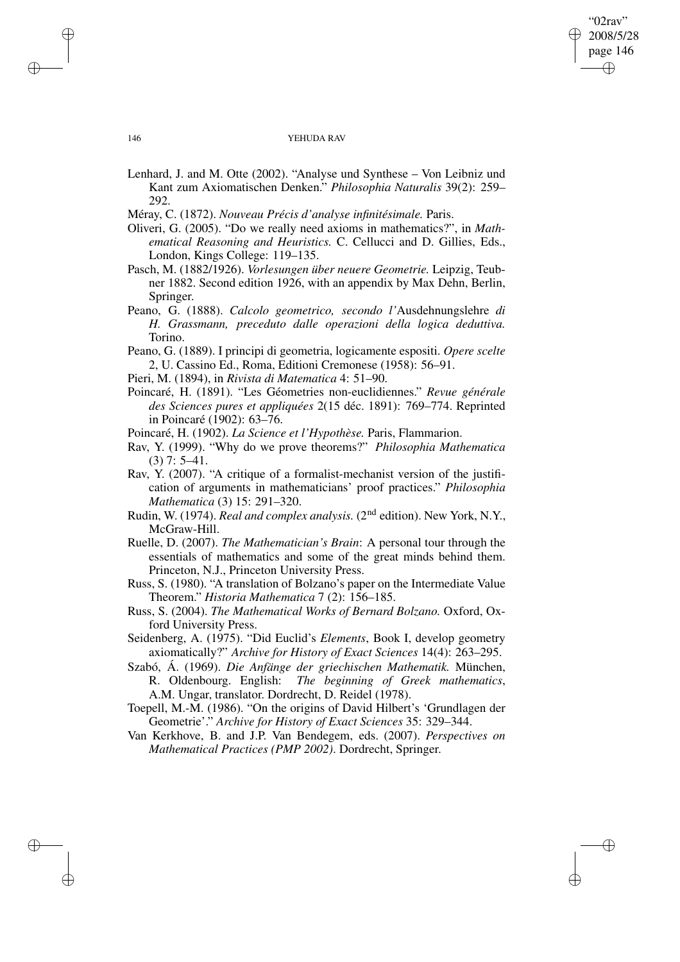"02rav" 2008/5/28 page 146 ✐ ✐

✐

### 146 YEHUDA RAV

- Lenhard, J. and M. Otte (2002). "Analyse und Synthese Von Leibniz und Kant zum Axiomatischen Denken." *Philosophia Naturalis* 39(2): 259– 292.
- Méray, C. (1872). *Nouveau Précis d'analyse infinitésimale.* Paris.
- Oliveri, G. (2005). "Do we really need axioms in mathematics?", in *Mathematical Reasoning and Heuristics.* C. Cellucci and D. Gillies, Eds., London, Kings College: 119–135.

Pasch, M. (1882/1926). *Vorlesungen über neuere Geometrie.* Leipzig, Teubner 1882. Second edition 1926, with an appendix by Max Dehn, Berlin, Springer.

- Peano, G. (1888). *Calcolo geometrico, secondo l'*Ausdehnungslehre *di H. Grassmann, preceduto dalle operazioni della logica deduttiva.* Torino.
- Peano, G. (1889). I principi di geometria, logicamente espositi. *Opere scelte* 2, U. Cassino Ed., Roma, Editioni Cremonese (1958): 56–91.
- Pieri, M. (1894), in *Rivista di Matematica* 4: 51–90.
- Poincaré, H. (1891). "Les Géometries non-euclidiennes." *Revue générale des Sciences pures et appliquées* 2(15 déc. 1891): 769–774. Reprinted in Poincaré (1902): 63–76.
- Poincaré, H. (1902). *La Science et l'Hypothèse.* Paris, Flammarion.

Rav, Y. (1999). "Why do we prove theorems?" *Philosophia Mathematica* (3) 7: 5–41.

- Rav, Y. (2007). "A critique of a formalist-mechanist version of the justification of arguments in mathematicians' proof practices." *Philosophia Mathematica* (3) 15: 291–320.
- Rudin, W. (1974). *Real and complex analysis.* (2nd edition). New York, N.Y., McGraw-Hill.
- Ruelle, D. (2007). *The Mathematician's Brain*: A personal tour through the essentials of mathematics and some of the great minds behind them. Princeton, N.J., Princeton University Press.
- Russ, S. (1980). "A translation of Bolzano's paper on the Intermediate Value Theorem." *Historia Mathematica* 7 (2): 156–185.
- Russ, S. (2004). *The Mathematical Works of Bernard Bolzano.* Oxford, Oxford University Press.
- Seidenberg, A. (1975). "Did Euclid's *Elements*, Book I, develop geometry axiomatically?" *Archive for History of Exact Sciences* 14(4): 263–295.
- Szabó, Á. (1969). *Die Anfänge der griechischen Mathematik.* München, R. Oldenbourg. English: *The beginning of Greek mathematics*, A.M. Ungar, translator. Dordrecht, D. Reidel (1978).

Toepell, M.-M. (1986). "On the origins of David Hilbert's 'Grundlagen der Geometrie'." *Archive for History of Exact Sciences* 35: 329–344.

Van Kerkhove, B. and J.P. Van Bendegem, eds. (2007). *Perspectives on Mathematical Practices (PMP 2002)*. Dordrecht, Springer.

✐

✐

✐